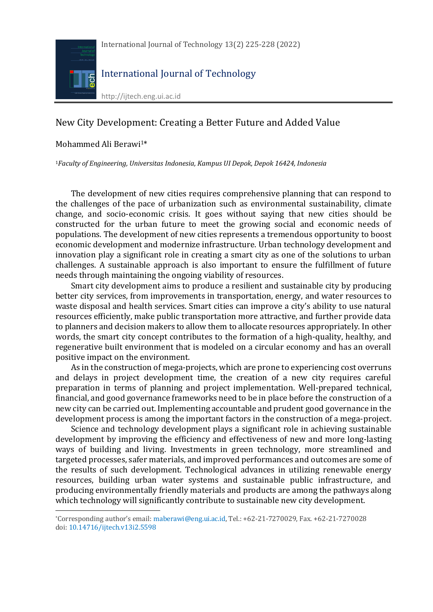

## New City Development: Creating a Better Future and Added Value

## Mohammed Ali Berawi<sup>1\*</sup>

l

<sup>1</sup>*Faculty of Engineering, Universitas Indonesia, Kampus UI Depok, Depok 16424, Indonesia*

The development of new cities requires comprehensive planning that can respond to the challenges of the pace of urbanization such as environmental sustainability, climate change, and socio-economic crisis. It goes without saying that new cities should be constructed for the urban future to meet the growing social and economic needs of populations. The development of new cities represents a tremendous opportunity to boost economic development and modernize infrastructure. Urban technology development and innovation play a significant role in creating a smart city as one of the solutions to urban challenges. A sustainable approach is also important to ensure the fulfillment of future needs through maintaining the ongoing viability of resources.

Smart city development aims to produce a resilient and sustainable city by producing better city services, from improvements in transportation, energy, and water resources to waste disposal and health services. Smart cities can improve a city's ability to use natural resources efficiently, make public transportation more attractive, and further provide data to planners and decision makers to allow them to allocate resources appropriately. In other words, the smart city concept contributes to the formation of a high-quality, healthy, and regenerative built environment that is modeled on a circular economy and has an overall positive impact on the environment.

As in the construction of mega-projects, which are prone to experiencing cost overruns and delays in project development time, the creation of a new city requires careful preparation in terms of planning and project implementation. Well-prepared technical, financial, and good governance frameworks need to be in place before the construction of a new city can be carried out. Implementing accountable and prudent good governance in the development process is among the important factors in the construction of a mega-project.

Science and technology development plays a significant role in achieving sustainable development by improving the efficiency and effectiveness of new and more long-lasting ways of building and living. Investments in green technology, more streamlined and targeted processes, safer materials, and improved performances and outcomes are some of the results of such development. Technological advances in utilizing renewable energy resources, building urban water systems and sustainable public infrastructure, and producing environmentally friendly materials and products are among the pathways along which technology will significantly contribute to sustainable new city development.

<sup>\*</sup>Corresponding author's email: maberawi@eng.ui.ac.id, Tel.: +62-21-7270029, Fax. +62-21-7270028 doi: 10.14716/ijtech.v13i2.5598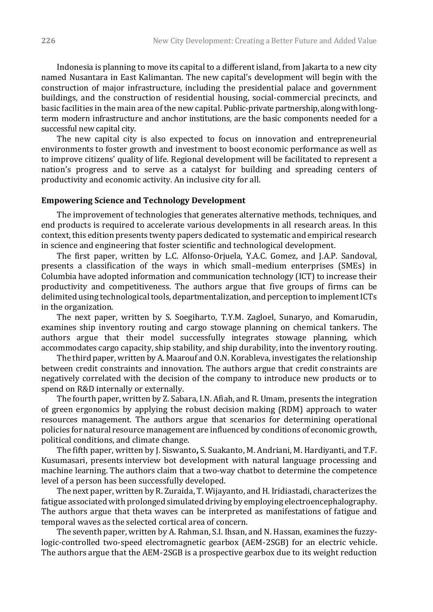Indonesia is planning to move its capital to a different island, from Jakarta to a new city named Nusantara in East Kalimantan. The new capital's development will begin with the construction of major infrastructure, including the presidential palace and government buildings, and the construction of residential housing, social-commercial precincts, and basic facilities in the main area of the new capital. Public-private partnership, along with longterm modern infrastructure and anchor institutions, are the basic components needed for a successful new capital city.

The new capital city is also expected to focus on innovation and entrepreneurial environments to foster growth and investment to boost economic performance as well as to improve citizens' quality of life. Regional development will be facilitated to represent a nation's progress and to serve as a catalyst for building and spreading centers of productivity and economic activity. An inclusive city for all.

## **Empowering Science and Technology Development**

The improvement of technologies that generates alternative methods, techniques, and end products is required to accelerate various developments in all research areas. In this context, this edition presents twenty papers dedicated to systematic and empirical research in science and engineering that foster scientific and technological development.

The first paper, written by L.C. Alfonso-Orjuela, Y.A.C. Gomez, and J.A.P. Sandoval, presents a classification of the ways in which small–medium enterprises (SMEs) in Columbia have adopted information and communication technology (ICT) to increase their productivity and competitiveness. The authors argue that five groups of firms can be delimited using technological tools, departmentalization, and perception to implement ICTs in the organization.

The next paper, written by S. Soegiharto, T.Y.M. Zagloel, Sunaryo, and Komarudin, examines ship inventory routing and cargo stowage planning on chemical tankers. The authors argue that their model successfully integrates stowage planning, which accommodates cargo capacity, ship stability, and ship durability, into the inventory routing.

The third paper, written by A. Maarouf and O.N. Korableva, investigates the relationship between credit constraints and innovation. The authors argue that credit constraints are negatively correlated with the decision of the company to introduce new products or to spend on R&D internally or externally.

The fourth paper, written by Z. Sabara, I.N. Afiah, and R. Umam, presents the integration of green ergonomics by applying the robust decision making (RDM) approach to water resources management. The authors argue that scenarios for determining operational policies for natural resource management are influenced by conditions of economic growth, political conditions, and climate change.

The fifth paper, written by J. Siswanto**,** S. Suakanto, M. Andriani, M. Hardiyanti, and T.F. Kusumasari, presents interview bot development with natural language processing and machine learning. The authors claim that a two-way chatbot to determine the competence level of a person has been successfully developed.

The next paper, written by R. Zuraida, T. Wijayanto, and H. Iridiastadi, characterizes the fatigue associated with prolonged simulated driving by employing electroencephalography. The authors argue that theta waves can be interpreted as manifestations of fatigue and temporal waves as the selected cortical area of concern.

The seventh paper, written by A. Rahman, S.I. Ihsan, and N. Hassan, examines the fuzzylogic-controlled two-speed electromagnetic gearbox (AEM-2SGB) for an electric vehicle. The authors argue that the AEM-2SGB is a prospective gearbox due to its weight reduction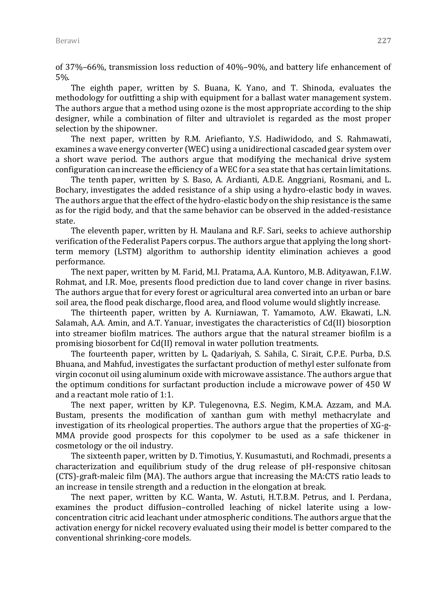of 37%–66%, transmission loss reduction of 40%–90%, and battery life enhancement of 5%.

The eighth paper, written by S. Buana, K. Yano, and T. Shinoda, evaluates the methodology for outfitting a ship with equipment for a ballast water management system. The authors argue that a method using ozone is the most appropriate according to the ship designer, while a combination of filter and ultraviolet is regarded as the most proper selection by the shipowner.

The next paper, written by R.M. Ariefianto, Y.S. Hadiwidodo, and S. Rahmawati, examines a wave energy converter (WEC) using a unidirectional cascaded gear system over a short wave period. The authors argue that modifying the mechanical drive system configuration can increase the efficiency of a WEC for a sea state that has certain limitations.

The tenth paper, written by S. Baso, A. Ardianti, A.D.E. Anggriani, Rosmani, and L. Bochary, investigates the added resistance of a ship using a hydro-elastic body in waves. The authors argue that the effect of the hydro-elastic body on the ship resistance is the same as for the rigid body, and that the same behavior can be observed in the added-resistance state.

The eleventh paper, written by H. Maulana and R.F. Sari, seeks to achieve authorship verification of the Federalist Papers corpus. The authors argue that applying the long shortterm memory (LSTM) algorithm to authorship identity elimination achieves a good performance.

The next paper, written by M. Farid, M.I. Pratama, A.A. Kuntoro, M.B. Adityawan, F.I.W. Rohmat, and I.R. Moe, presents flood prediction due to land cover change in river basins. The authors argue that for every forest or agricultural area converted into an urban or bare soil area, the flood peak discharge, flood area, and flood volume would slightly increase.

The thirteenth paper, written by A. Kurniawan, T. Yamamoto, A.W. Ekawati, L.N. Salamah, A.A. Amin, and A.T. Yanuar, investigates the characteristics of Cd(II) biosorption into streamer biofilm matrices. The authors argue that the natural streamer biofilm is a promising biosorbent for Cd(II) removal in water pollution treatments.

The fourteenth paper, written by L. Qadariyah, S. Sahila, C. Sirait, C.P.E. Purba, D.S. Bhuana, and Mahfud, investigates the surfactant production of methyl ester sulfonate from virgin coconut oil using aluminum oxide with microwave assistance. The authors argue that the optimum conditions for surfactant production include a microwave power of 450 W and a reactant mole ratio of 1:1.

The next paper, written by K.P. Tulegenovna, E.S. Negim, K.M.A. Azzam, and M.A. Bustam, presents the modification of xanthan gum with methyl methacrylate and investigation of its rheological properties. The authors argue that the properties of XG-g-MMA provide good prospects for this copolymer to be used as a safe thickener in cosmetology or the oil industry.

The sixteenth paper, written by D. Timotius, Y. Kusumastuti, and Rochmadi, presents a characterization and equilibrium study of the drug release of pH-responsive chitosan (CTS)-graft-maleic film (MA). The authors argue that increasing the MA:CTS ratio leads to an increase in tensile strength and a reduction in the elongation at break.

The next paper, written by K.C. Wanta, W. Astuti, H.T.B.M. Petrus, and I. Perdana, examines the product diffusion–controlled leaching of nickel laterite using a lowconcentration citric acid leachant under atmospheric conditions. The authors argue that the activation energy for nickel recovery evaluated using their model is better compared to the conventional shrinking-core models.